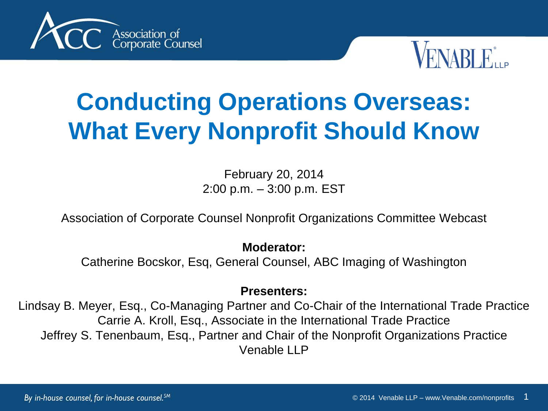



# **Conducting Operations Overseas: What Every Nonprofit Should Know**

February 20, 2014 2:00 p.m. – 3:00 p.m. EST

Association of Corporate Counsel Nonprofit Organizations Committee Webcast

#### **Moderator:**

Catherine Bocskor, Esq, General Counsel, ABC Imaging of Washington

#### **Presenters:**

Lindsay B. Meyer, Esq., Co-Managing Partner and Co-Chair of the International Trade Practice Carrie A. Kroll, Esq., Associate in the International Trade Practice Jeffrey S. Tenenbaum, Esq., Partner and Chair of the Nonprofit Organizations Practice Venable LLP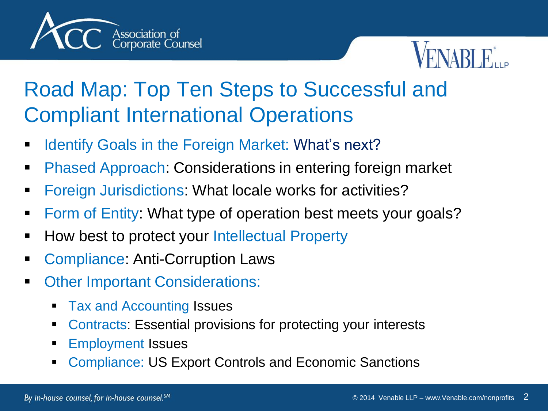



#### Road Map: Top Ten Steps to Successful and Compliant International Operations

- **IDENTIFY Anally In the Foreign Market: What's next?**
- **Phased Approach: Considerations in entering foreign market**
- **Foreign Jurisdictions: What locale works for activities?**
- Form of Entity: What type of operation best meets your goals?
- **-** How best to protect your Intellectual Property
- Compliance: Anti-Corruption Laws
- **Cther Important Considerations:** 
	- Tax and Accounting Issues
	- Contracts: Essential provisions for protecting your interests
	- Employment Issues
	- Compliance: US Export Controls and Economic Sanctions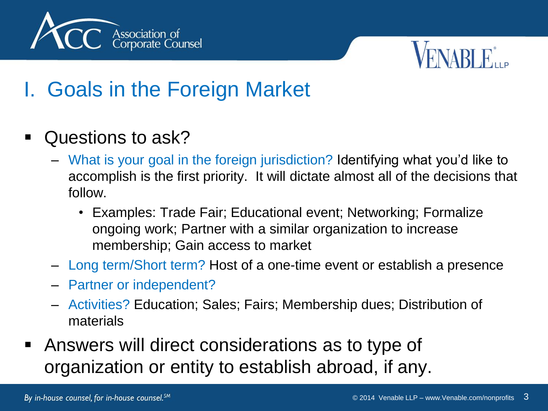



### I. Goals in the Foreign Market

- Questions to ask?
	- What is your goal in the foreign jurisdiction? Identifying what you'd like to accomplish is the first priority. It will dictate almost all of the decisions that follow.
		- Examples: Trade Fair; Educational event; Networking; Formalize ongoing work; Partner with a similar organization to increase membership; Gain access to market
	- Long term/Short term? Host of a one-time event or establish a presence
	- Partner or independent?
	- Activities? Education; Sales; Fairs; Membership dues; Distribution of materials
- Answers will direct considerations as to type of organization or entity to establish abroad, if any.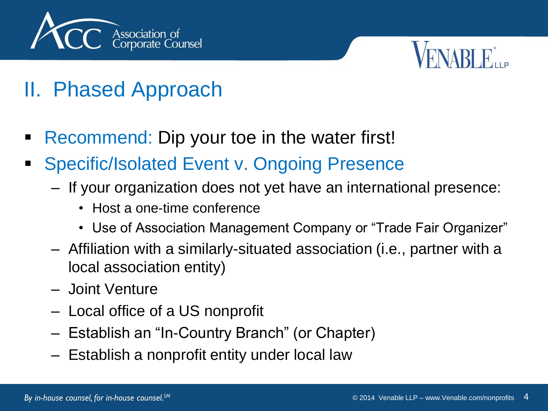



#### II. Phased Approach

- Recommend: Dip your toe in the water first!
- **Specific/Isolated Event v. Ongoing Presence** 
	- If your organization does not yet have an international presence:
		- Host a one-time conference
		- Use of Association Management Company or "Trade Fair Organizer"
	- Affiliation with a similarly-situated association (i.e., partner with a local association entity)
	- Joint Venture
	- Local office of a US nonprofit
	- Establish an "In-Country Branch" (or Chapter)
	- Establish a nonprofit entity under local law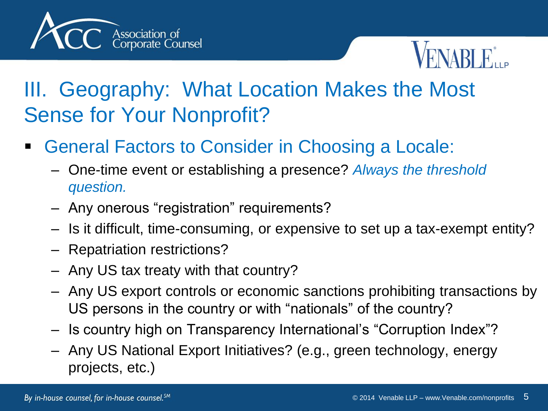



#### III. Geography: What Location Makes the Most Sense for Your Nonprofit?

- General Factors to Consider in Choosing a Locale:
	- One-time event or establishing a presence? *Always the threshold question.*
	- Any onerous "registration" requirements?
	- Is it difficult, time-consuming, or expensive to set up a tax-exempt entity?
	- Repatriation restrictions?
	- Any US tax treaty with that country?
	- Any US export controls or economic sanctions prohibiting transactions by US persons in the country or with "nationals" of the country?
	- Is country high on Transparency International's "Corruption Index"?
	- Any US National Export Initiatives? (e.g., green technology, energy projects, etc.)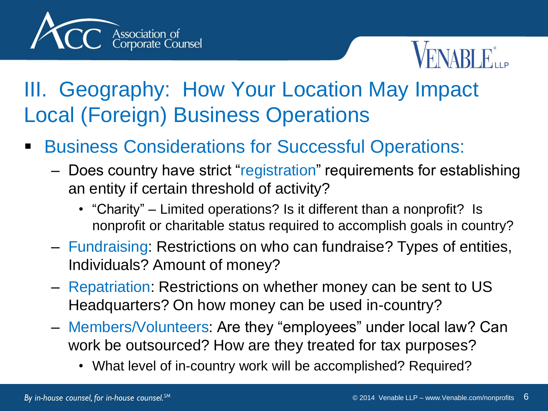



#### III. Geography: How Your Location May Impact Local (Foreign) Business Operations

- Business Considerations for Successful Operations:
	- Does country have strict "registration" requirements for establishing an entity if certain threshold of activity?
		- "Charity" Limited operations? Is it different than a nonprofit? Is nonprofit or charitable status required to accomplish goals in country?
	- Fundraising: Restrictions on who can fundraise? Types of entities, Individuals? Amount of money?
	- Repatriation: Restrictions on whether money can be sent to US Headquarters? On how money can be used in-country?
	- Members/Volunteers: Are they "employees" under local law? Can work be outsourced? How are they treated for tax purposes?
		- What level of in-country work will be accomplished? Required?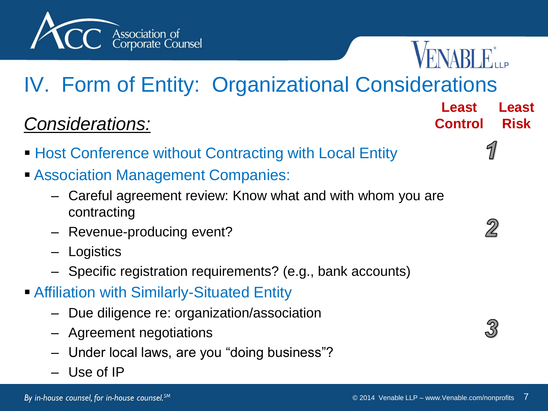



**Least** 

**Least** 

**Risk**

**Control**

## IV. Form of Entity: Organizational Considerations

#### *Considerations:*

- **Host Conference without Contracting with Local Entity**
- **Association Management Companies:** 
	- Careful agreement review: Know what and with whom you are contracting
	- Revenue-producing event?
	- Logistics
	- Specific registration requirements? (e.g., bank accounts)
- Affiliation with Similarly-Situated Entity
	- Due diligence re: organization/association
	- Agreement negotiations
	- Under local laws, are you "doing business"?
	- Use of IP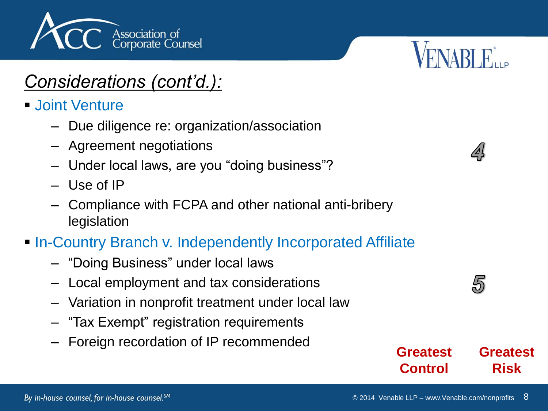

#### *Considerations (cont'd.):*

- **Joint Venture** 
	- Due diligence re: organization/association
	- Agreement negotiations
	- Under local laws, are you "doing business"?
	- Use of IP
	- Compliance with FCPA and other national anti-bribery legislation

#### **In-Country Branch v. Independently Incorporated Affiliate**

- "Doing Business" under local laws
- Local employment and tax considerations
- Variation in nonprofit treatment under local law
- "Tax Exempt" registration requirements
- Foreign recordation of IP recommended

**FNARLE...** 

**Greatest** 

5

**Risk**

**Greatest**

**Control**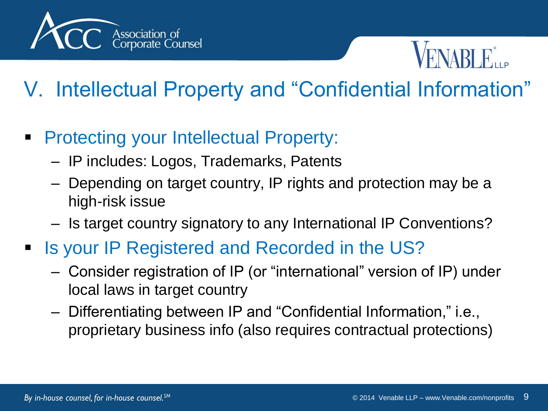



## V. Intellectual Property and "Confidential Information"

- **Protecting your Intellectual Property:** 
	- IP includes: Logos, Trademarks, Patents
	- Depending on target country, IP rights and protection may be a high-risk issue
	- Is target country signatory to any International IP Conventions?
- Is your IP Registered and Recorded in the US?
	- Consider registration of IP (or "international" version of IP) under local laws in target country
	- Differentiating between IP and "Confidential Information," i.e., proprietary business info (also requires contractual protections)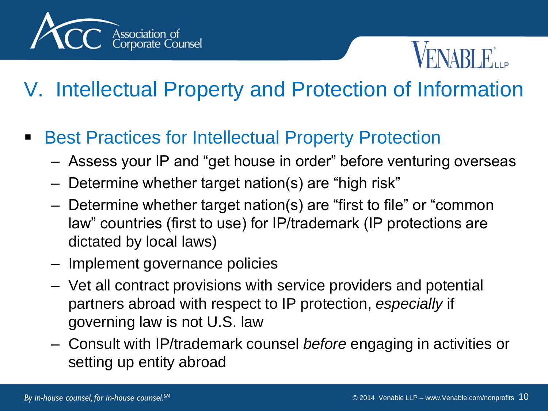



## V. Intellectual Property and Protection of Information

- Best Practices for Intellectual Property Protection
	- Assess your IP and "get house in order" before venturing overseas
	- Determine whether target nation(s) are "high risk"
	- Determine whether target nation(s) are "first to file" or "common law" countries (first to use) for IP/trademark (IP protections are dictated by local laws)
	- Implement governance policies
	- Vet all contract provisions with service providers and potential partners abroad with respect to IP protection, *especially* if governing law is not U.S. law
	- Consult with IP/trademark counsel *before* engaging in activities or setting up entity abroad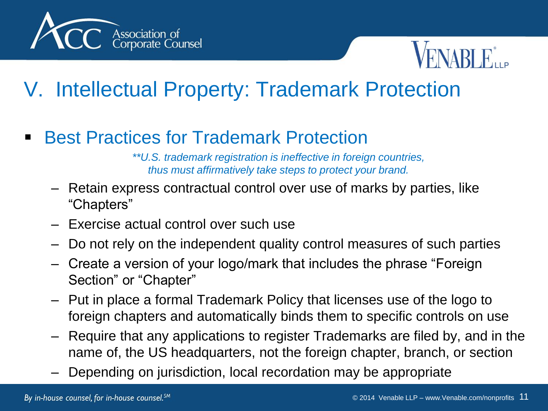



#### V. Intellectual Property: Trademark Protection

Best Practices for Trademark Protection

*\*\*U.S. trademark registration is ineffective in foreign countries, thus must affirmatively take steps to protect your brand.*

- Retain express contractual control over use of marks by parties, like "Chapters"
- Exercise actual control over such use
- Do not rely on the independent quality control measures of such parties
- Create a version of your logo/mark that includes the phrase "Foreign Section" or "Chapter"
- Put in place a formal Trademark Policy that licenses use of the logo to foreign chapters and automatically binds them to specific controls on use
- Require that any applications to register Trademarks are filed by, and in the name of, the US headquarters, not the foreign chapter, branch, or section
- Depending on jurisdiction, local recordation may be appropriate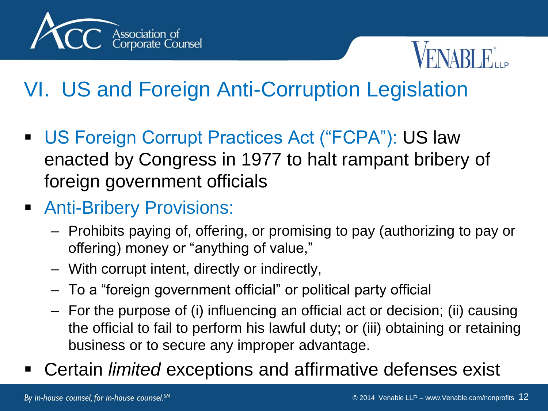



## VI. US and Foreign Anti-Corruption Legislation

- US Foreign Corrupt Practices Act ("FCPA"): US law enacted by Congress in 1977 to halt rampant bribery of foreign government officials
- **Anti-Bribery Provisions:** 
	- Prohibits paying of, offering, or promising to pay (authorizing to pay or offering) money or "anything of value,"
	- With corrupt intent, directly or indirectly,
	- To a "foreign government official" or political party official
	- For the purpose of (i) influencing an official act or decision; (ii) causing the official to fail to perform his lawful duty; or (iii) obtaining or retaining business or to secure any improper advantage.
- Certain *limited* exceptions and affirmative defenses exist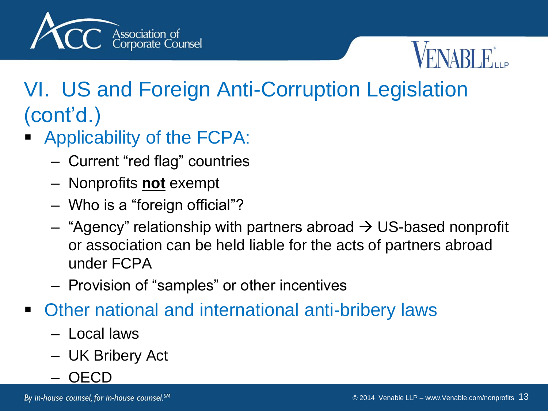



## VI. US and Foreign Anti-Corruption Legislation (cont'd.)

- Applicability of the FCPA:
	- Current "red flag" countries
	- Nonprofits **not** exempt
	- Who is a "foreign official"?
	- $-$  "Agency" relationship with partners abroad  $\rightarrow$  US-based nonprofit or association can be held liable for the acts of partners abroad under FCPA
	- Provision of "samples" or other incentives
- Other national and international anti-bribery laws
	- Local laws
	- UK Bribery Act
	- OECD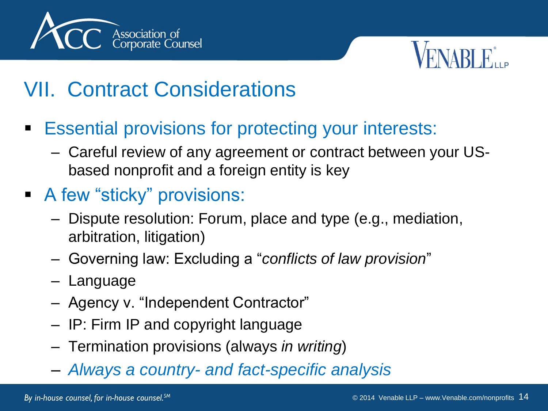



#### VII. Contract Considerations

- **Essential provisions for protecting your interests:** 
	- Careful review of any agreement or contract between your USbased nonprofit and a foreign entity is key
- A few "sticky" provisions:
	- Dispute resolution: Forum, place and type (e.g., mediation, arbitration, litigation)
	- Governing law: Excluding a "*conflicts of law provision*"
	- Language
	- Agency v. "Independent Contractor"
	- IP: Firm IP and copyright language
	- Termination provisions (always *in writing*)
	- *Always a country- and fact-specific analysis*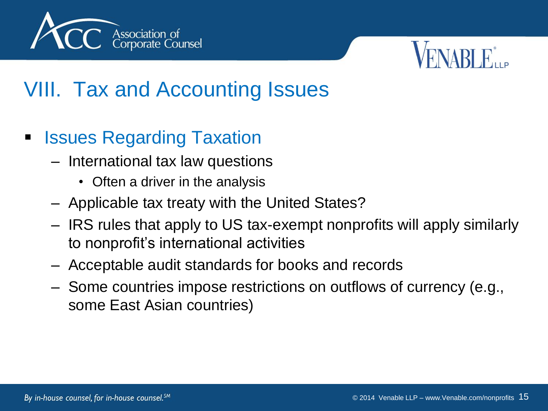



#### VIII. Tax and Accounting Issues

- Issues Regarding Taxation
	- International tax law questions
		- Often a driver in the analysis
	- Applicable tax treaty with the United States?
	- IRS rules that apply to US tax-exempt nonprofits will apply similarly to nonprofit's international activities
	- Acceptable audit standards for books and records
	- Some countries impose restrictions on outflows of currency (e.g., some East Asian countries)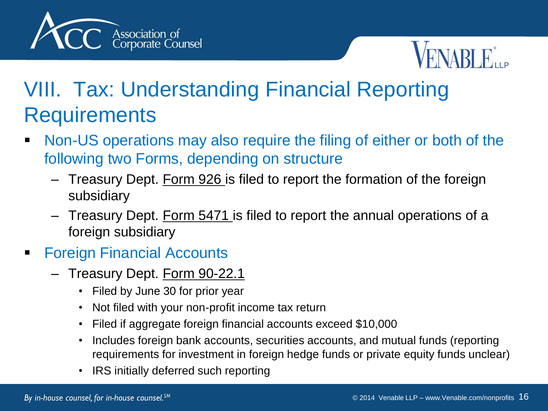



## VIII. Tax: Understanding Financial Reporting **Requirements**

- **Non-US operations may also require the filing of either or both of the** following two Forms, depending on structure
	- Treasury Dept. Form 926 is filed to report the formation of the foreign subsidiary
	- Treasury Dept. Form 5471 is filed to report the annual operations of a foreign subsidiary
- **Foreign Financial Accounts** 
	- Treasury Dept. Form 90-22.1
		- Filed by June 30 for prior year
		- Not filed with your non-profit income tax return
		- Filed if aggregate foreign financial accounts exceed \$10,000
		- Includes foreign bank accounts, securities accounts, and mutual funds (reporting requirements for investment in foreign hedge funds or private equity funds unclear)
		- IRS initially deferred such reporting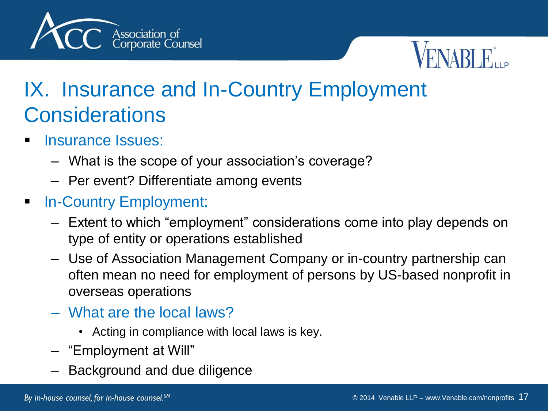



#### IX. Insurance and In-Country Employment **Considerations**

- Insurance Issues:
	- What is the scope of your association's coverage?
	- Per event? Differentiate among events
- **In-Country Employment:** 
	- Extent to which "employment" considerations come into play depends on type of entity or operations established
	- Use of Association Management Company or in-country partnership can often mean no need for employment of persons by US-based nonprofit in overseas operations
	- What are the local laws?
		- Acting in compliance with local laws is key.
	- "Employment at Will"
	- Background and due diligence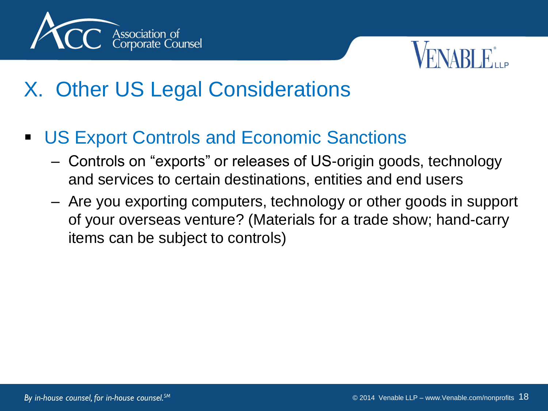



#### X. Other US Legal Considerations

- **US Export Controls and Economic Sanctions** 
	- Controls on "exports" or releases of US-origin goods, technology and services to certain destinations, entities and end users
	- Are you exporting computers, technology or other goods in support of your overseas venture? (Materials for a trade show; hand-carry items can be subject to controls)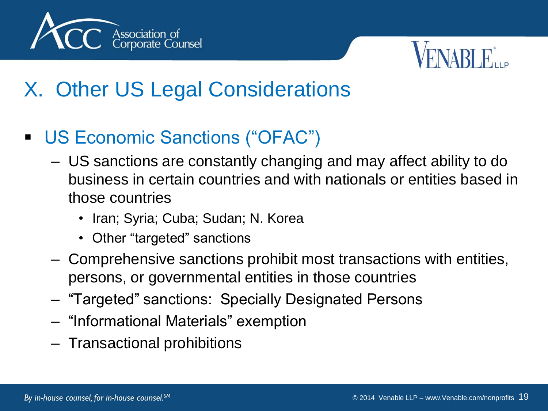



### X. Other US Legal Considerations

- US Economic Sanctions ("OFAC")
	- US sanctions are constantly changing and may affect ability to do business in certain countries and with nationals or entities based in those countries
		- Iran; Syria; Cuba; Sudan; N. Korea
		- Other "targeted" sanctions
	- Comprehensive sanctions prohibit most transactions with entities, persons, or governmental entities in those countries
	- "Targeted" sanctions: Specially Designated Persons
	- "Informational Materials" exemption
	- Transactional prohibitions